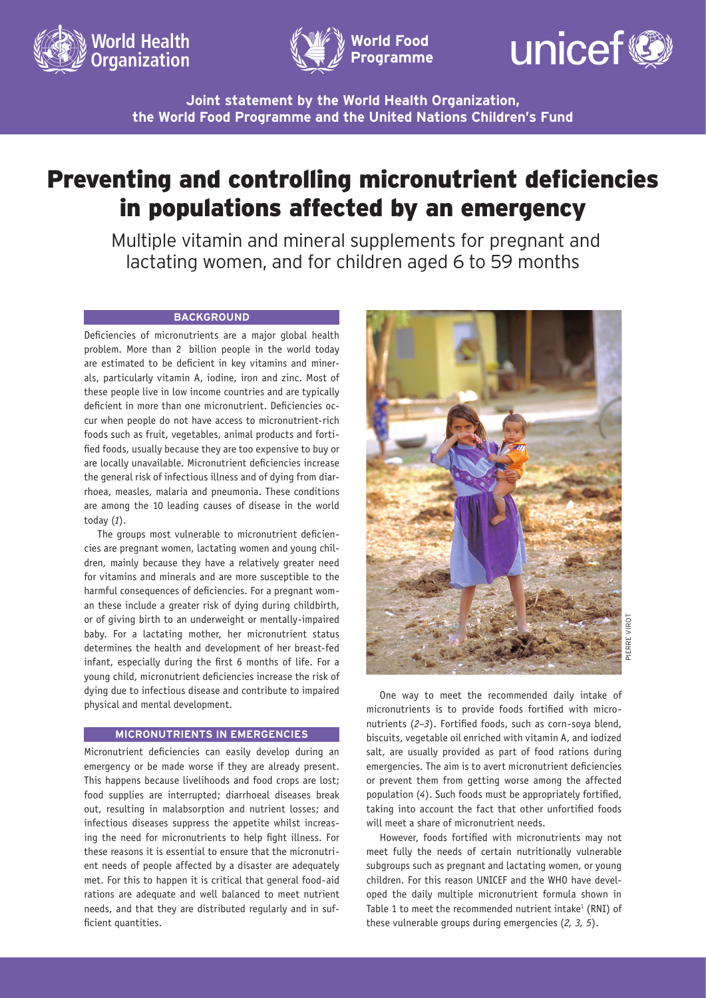





**Joint statement by the World Health Organization, the World Food Programme and the United Nations Children's Fund**

# Preventing and controlling micronutrient deficiencies in populations affected by an emergency

Multiple vitamin and mineral supplements for pregnant and lactating women, and for children aged 6 to 59 months

### **BACKGROUND**

Deficiencies of micronutrients are a major global health problem. More than 2 billion people in the world today are estimated to be deficient in key vitamins and minerals, particularly vitamin A, iodine, iron and zinc. Most of these people live in low income countries and are typically deficient in more than one micronutrient. Deficiencies occur when people do not have access to micronutrient-rich foods such as fruit, vegetables, animal products and fortified foods, usually because they are too expensive to buy or are locally unavailable. Micronutrient deficiencies increase the general risk of infectious illness and of dying from diarrhoea, measles, malaria and pneumonia. These conditions are among the 10 leading causes of disease in the world today (*1*).

The groups most vulnerable to micronutrient deficiencies are pregnant women, lactating women and young children, mainly because they have a relatively greater need for vitamins and minerals and are more susceptible to the harmful consequences of deficiencies. For a pregnant woman these include a greater risk of dying during childbirth, or of giving birth to an underweight or mentally-impaired baby. For a lactating mother, her micronutrient status determines the health and development of her breast-fed infant, especially during the first 6 months of life. For a young child, micronutrient deficiencies increase the risk of dying due to infectious disease and contribute to impaired physical and mental development.

## **MICRONUTRIENTS IN EMERGENCIES**

Micronutrient deficiencies can easily develop during an emergency or be made worse if they are already present. This happens because livelihoods and food crops are lost; food supplies are interrupted; diarrhoeal diseases break out, resulting in malabsorption and nutrient losses; and infectious diseases suppress the appetite whilst increasing the need for micronutrients to help fight illness. For these reasons it is essential to ensure that the micronutrient needs of people affected by a disaster are adequately met. For this to happen it is critical that general food-aid rations are adequate and well balanced to meet nutrient needs, and that they are distributed regularly and in sufficient quantities.



One way to meet the recommended daily intake of micronutrients is to provide foods fortified with micronutrients (*2–3*). Fortified foods, such as corn-soya blend, biscuits, vegetable oil enriched with vitamin A, and iodized salt, are usually provided as part of food rations during emergencies. The aim is to avert micronutrient deficiencies or prevent them from getting worse among the affected population (*4*). Such foods must be appropriately fortified, taking into account the fact that other unfortified foods will meet a share of micronutrient needs.

However, foods fortified with micronutrients may not meet fully the needs of certain nutritionally vulnerable subgroups such as pregnant and lactating women, or young children. For this reason UNICEF and the WHO have developed the daily multiple micronutrient formula shown in Table 1 to meet the recommended nutrient intake<sup>1</sup> (RNI) of these vulnerable groups during emergencies (*2, 3, 5*).